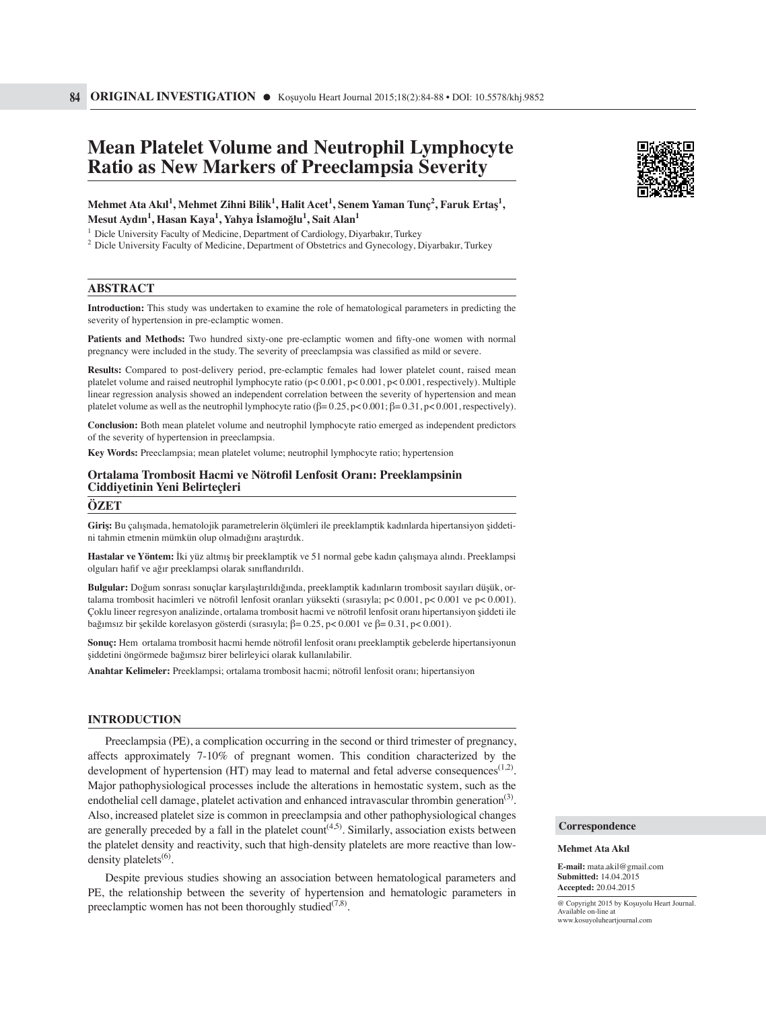# **Mean Platelet Volume and Neutrophil Lymphocyte Ratio as New Markers of Preeclampsia Severity**

 $\mathbf{M}$ ehmet Ata Akıl<sup>1</sup>, Mehmet Zihni Bilik<sup>1</sup>, Halit Acet<sup>1</sup>, Senem Yaman Tunç<sup>2</sup>, Faruk Ertaş<sup>1</sup>, **Mesut Aydın<sup>1</sup> , Hasan Kaya1 , Yahya İslamoğlu1 , Sait Alan<sup>1</sup>**

<sup>1</sup> Dicle University Faculty of Medicine, Department of Cardiology, Diyarbakır, Turkey

' Dicle University Faculty of Medicine, Department of Cardiology, Diyarbakır, Turkey<br><sup>2</sup> Dicle University Faculty of Medicine, Department of Obstetrics and Gynecology, Diyarbakır, Turkey

## **ABSTRACT**

**Introduction:** This study was undertaken to examine the role of hematological parameters in predicting the severity of hypertension in pre-eclamptic women.

Patients and Methods: Two hundred sixty-one pre-eclamptic women and fifty-one women with normal pregnancy were included in the study. The severity of preeclampsia was classified as mild or severe.

**Results:** Compared to post-delivery period, pre-eclamptic females had lower platelet count, raised mean platelet volume and raised neutrophil lymphocyte ratio (p< 0.001, p< 0.001, p< 0.001, respectively). Multiple linear regression analysis showed an independent correlation between the severity of hypertension and mean platelet volume as well as the neutrophil lymphocyte ratio  $(\beta = 0.25, p < 0.001; \beta = 0.31, p < 0.001$ , respectively).

**Conclusion:** Both mean platelet volume and neutrophil lymphocyte ratio emerged as independent predictors of the severity of hypertension in preeclampsia.

**Key Words:** Preeclampsia; mean platelet volume; neutrophil lymphocyte ratio; hypertension

## **Ortalama Trombosit Hacmi ve Nötrofi l Lenfosit Oranı: Preeklampsinin Ciddiyetinin Yeni Belirteçleri**

#### **ÖZET**

**Giriş:** Bu çalışmada, hematolojik parametrelerin ölçümleri ile preeklamptik kadınlarda hipertansiyon şiddetini tahmin etmenin mümkün olup olmadığını araştırdık.

**Hastalar ve Yöntem:** İki yüz altmış bir preeklamptik ve 51 normal gebe kadın çalışmaya alındı. Preeklampsi olguları hafif ve ağır preeklampsi olarak sınıflandırıldı.

**Bulgular:** Doğum sonrası sonuçlar karşılaştırıldığında, preeklamptik kadınların trombosit sayıları düşük, ortalama trombosit hacimleri ve nötrofi l lenfosit oranları yüksekti (sırasıyla; p< 0.001, p< 0.001 ve p< 0.001). Çoklu lineer regresyon analizinde, ortalama trombosit hacmi ve nötrofi l lenfosit oranı hipertansiyon şiddeti ile bağımsız bir şekilde korelasyon gösterdi (sırasıyla; β= 0.25, p< 0.001 ve β= 0.31, p< 0.001).

**Sonuç:** Hem ortalama trombosit hacmi hemde nötrofil lenfosit oranı preeklamptik gebelerde hipertansiyonun şiddetini öngörmede bağımsız birer belirleyici olarak kullanılabilir.

**Anahtar Kelimeler:** Preeklampsi; ortalama trombosit hacmi; nötrofi l lenfosit oranı; hipertansiyon

#### **INTRODUCTION**

Preeclampsia (PE), a complication occurring in the second or third trimester of pregnancy, affects approximately 7-10% of pregnant women. This condition characterized by the development of hypertension (HT) may lead to maternal and fetal adverse consequences<sup> $(1,2)$ </sup>. Major pathophysiological processes include the alterations in hemostatic system, such as the endothelial cell damage, platelet activation and enhanced intravascular thrombin generation<sup>(3)</sup>. Also, increased platelet size is common in preeclampsia and other pathophysiological changes are generally preceded by a fall in the platelet  $count^{(4,5)}$ . Similarly, association exists between the platelet density and reactivity, such that high-density platelets are more reactive than lowdensity platelets $<sup>(6)</sup>$ .</sup>

Despite previous studies showing an association between hematological parameters and PE, the relationship between the severity of hypertension and hematologic parameters in preeclamptic women has not been thoroughly studied<sup> $(7,8)$ </sup>.



#### **Correspondence**

#### **Mehmet Ata Akıl**

**E-mail:** mata.akil@gmail.com **Submitted:** 14.04.2015 **Accepted:** 20.04.2015

@ Copyright 2015 by Koşuyolu Heart Journal. Available on-line at www.kosuyoluheartjournal.com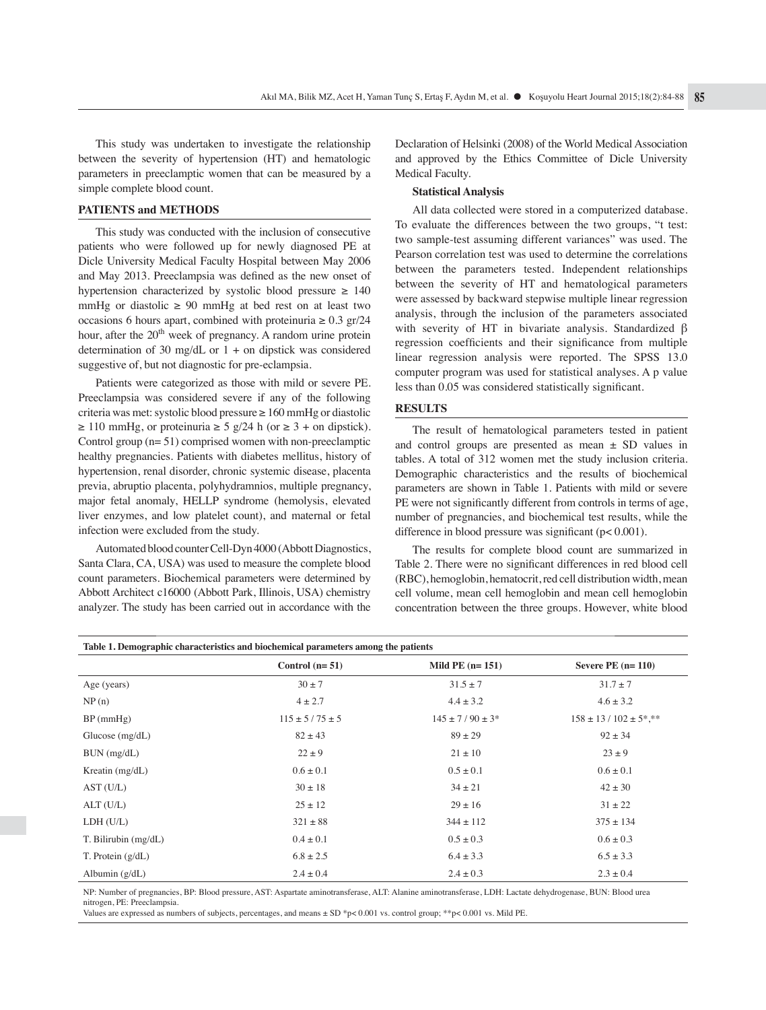This study was undertaken to investigate the relationship between the severity of hypertension (HT) and hematologic parameters in preeclamptic women that can be measured by a simple complete blood count.

## **PATIENTS and METHODS**

This study was conducted with the inclusion of consecutive patients who were followed up for newly diagnosed PE at Dicle University Medical Faculty Hospital between May 2006 and May 2013. Preeclampsia was defined as the new onset of hypertension characterized by systolic blood pressure  $\geq 140$ mmHg or diastolic  $\geq 90$  mmHg at bed rest on at least two occasions 6 hours apart, combined with proteinuria  $\geq 0.3$  gr/24 hour, after the 20<sup>th</sup> week of pregnancy. A random urine protein determination of 30 mg/dL or  $1 +$  on dipstick was considered suggestive of, but not diagnostic for pre-eclampsia.

Patients were categorized as those with mild or severe PE. Preeclampsia was considered severe if any of the following criteria was met: systolic blood pressure ≥ 160 mmHg or diastolic  $\geq 110$  mmHg, or proteinuria  $\geq 5$  g/24 h (or  $\geq 3$  + on dipstick). Control group (n= 51) comprised women with non-preeclamptic healthy pregnancies. Patients with diabetes mellitus, history of hypertension, renal disorder, chronic systemic disease, placenta previa, abruptio placenta, polyhydramnios, multiple pregnancy, major fetal anomaly, HELLP syndrome (hemolysis, elevated liver enzymes, and low platelet count), and maternal or fetal infection were excluded from the study.

Automated blood counter Cell-Dyn 4000 (Abbott Diagnostics, Santa Clara, CA, USA) was used to measure the complete blood count parameters. Biochemical parameters were determined by Abbott Architect c16000 (Abbott Park, Illinois, USA) chemistry analyzer. The study has been carried out in accordance with the

Declaration of Helsinki (2008) of the World Medical Association and approved by the Ethics Committee of Dicle University Medical Faculty.

## **Statistical Analysis**

All data collected were stored in a computerized database. To evaluate the differences between the two groups, "t test: two sample-test assuming different variances" was used. The Pearson correlation test was used to determine the correlations between the parameters tested. Independent relationships between the severity of HT and hematological parameters were assessed by backward stepwise multiple linear regression analysis, through the inclusion of the parameters associated with severity of HT in bivariate analysis. Standardized β regression coefficients and their significance from multiple linear regression analysis were reported. The SPSS 13.0 computer program was used for statistical analyses. A p value less than 0.05 was considered statistically significant.

## **RESULTS**

The result of hematological parameters tested in patient and control groups are presented as mean  $\pm$  SD values in tables. A total of 312 women met the study inclusion criteria. Demographic characteristics and the results of biochemical parameters are shown in Table 1. Patients with mild or severe PE were not significantly different from controls in terms of age, number of pregnancies, and biochemical test results, while the difference in blood pressure was significant  $(p< 0.001)$ .

The results for complete blood count are summarized in Table 2. There were no significant differences in red blood cell (RBC), hemoglobin, hematocrit, red cell distribution width, mean cell volume, mean cell hemoglobin and mean cell hemoglobin concentration between the three groups. However, white blood

| Table 1. Demographic characteristics and biochemical parameters among the patients |                      |                       |                              |  |  |
|------------------------------------------------------------------------------------|----------------------|-----------------------|------------------------------|--|--|
|                                                                                    | Control $(n=51)$     | Mild PE $(n=151)$     | Severe PE $(n=110)$          |  |  |
| Age (years)                                                                        | $30 \pm 7$           | $31.5 \pm 7$          | $31.7 \pm 7$                 |  |  |
| NP(n)                                                                              | $4 \pm 2.7$          | $4.4 \pm 3.2$         | $4.6 \pm 3.2$                |  |  |
| $BP$ (mmHg)                                                                        | $115 \pm 5/75 \pm 5$ | $145 \pm 7/90 \pm 3*$ | $158 \pm 13 / 102 \pm 5$ *** |  |  |
| Glucose $(mg/dL)$                                                                  | $82 \pm 43$          | $89 \pm 29$           | $92 \pm 34$                  |  |  |
| BUN (mg/dL)                                                                        | $22 \pm 9$           | $21 \pm 10$           | $23 \pm 9$                   |  |  |
| Kreatin $(mg/dL)$                                                                  | $0.6 \pm 0.1$        | $0.5 \pm 0.1$         | $0.6 \pm 0.1$                |  |  |
| AST(U/L)                                                                           | $30 \pm 18$          | $34 \pm 21$           | $42 \pm 30$                  |  |  |
| ALT(U/L)                                                                           | $25 \pm 12$          | $29 \pm 16$           | $31 \pm 22$                  |  |  |
| LDH (U/L)                                                                          | $321 \pm 88$         | $344 \pm 112$         | $375 \pm 134$                |  |  |
| T. Bilirubin (mg/dL)                                                               | $0.4 \pm 0.1$        | $0.5 \pm 0.3$         | $0.6 \pm 0.3$                |  |  |
| T. Protein $(g/dL)$                                                                | $6.8 \pm 2.5$        | $6.4 \pm 3.3$         | $6.5 \pm 3.3$                |  |  |
| Albumin $(g/dL)$                                                                   | $2.4 \pm 0.4$        | $2.4 \pm 0.3$         | $2.3 \pm 0.4$                |  |  |

NP: Number of pregnancies, BP: Blood pressure, AST: Aspartate aminotransferase, ALT: Alanine aminotransferase, LDH: Lactate dehydrogenase, BUN: Blood urea nitrogen, PE: Preeclampsia.

Values are expressed as numbers of subjects, percentages, and means ± SD \*p< 0.001 vs. control group; \*\*p< 0.001 vs. Mild PE.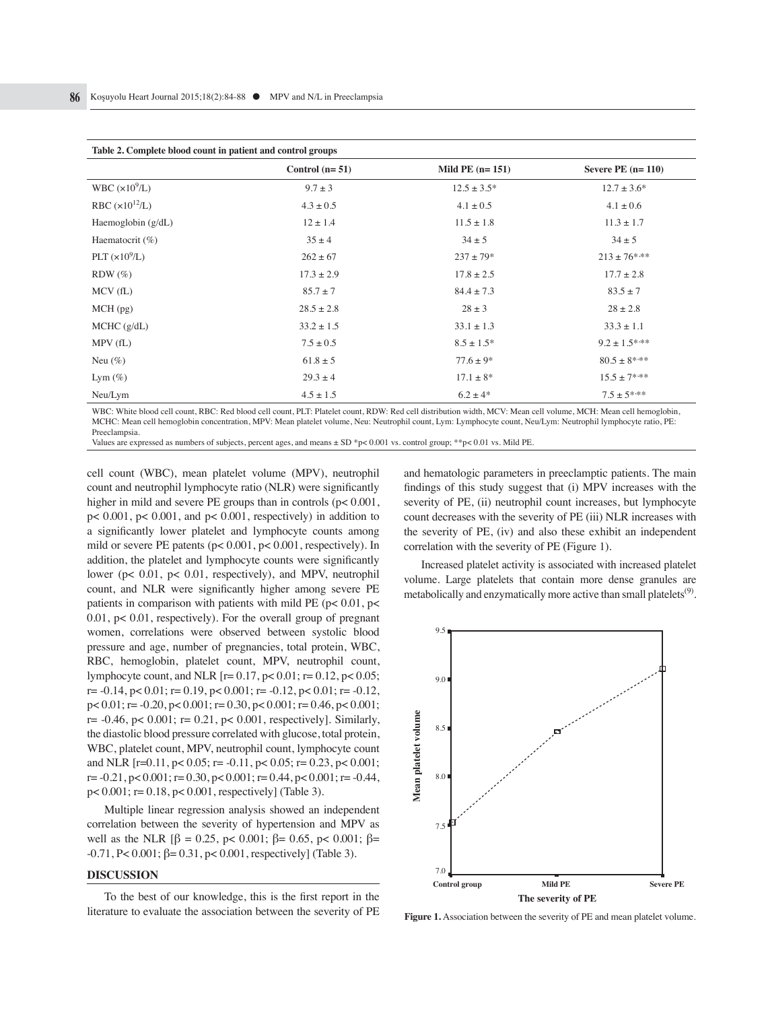| Table 2. Complete blood count in patient and control groups |                  |                   |                     |  |  |
|-------------------------------------------------------------|------------------|-------------------|---------------------|--|--|
|                                                             | Control $(n=51)$ | Mild PE $(n=151)$ | Severe PE $(n=110)$ |  |  |
| WBC $(x10^9/L)$                                             | $9.7 \pm 3$      | $12.5 \pm 3.5^*$  | $12.7 \pm 3.6^*$    |  |  |
| RBC $(x10^{12}/L)$                                          | $4.3 \pm 0.5$    | $4.1 \pm 0.5$     | $4.1 \pm 0.6$       |  |  |
| Haemoglobin $(g/dL)$                                        | $12 \pm 1.4$     | $11.5 \pm 1.8$    | $11.3 \pm 1.7$      |  |  |
| Haematocrit $(\%)$                                          | $35 \pm 4$       | $34 \pm 5$        | $34 \pm 5$          |  |  |
| PLT $(x10^9/L)$                                             | $262 \pm 67$     | $237 \pm 79*$     | $213 \pm 76$ ***    |  |  |
| $RDW$ $(\%)$                                                | $17.3 \pm 2.9$   | $17.8 \pm 2.5$    | $17.7 \pm 2.8$      |  |  |
| MCV(fL)                                                     | $85.7 \pm 7$     | $84.4 \pm 7.3$    | $83.5 \pm 7$        |  |  |
| $MCH$ (pg)                                                  | $28.5 \pm 2.8$   | $28 \pm 3$        | $28 \pm 2.8$        |  |  |
| $MCHC$ ( $g/dL$ )                                           | $33.2 \pm 1.5$   | $33.1 \pm 1.3$    | $33.3 \pm 1.1$      |  |  |
| MPV(fL)                                                     | $7.5 \pm 0.5$    | $8.5 \pm 1.5^*$   | $9.2 \pm 1.5$ ***   |  |  |
| Neu $(\%)$                                                  | $61.8 \pm 5$     | $77.6 \pm 9*$     | $80.5\pm8***$       |  |  |
| Lym $(\%)$                                                  | $29.3 \pm 4$     | $17.1 \pm 8*$     | $15.5 \pm 7***$     |  |  |
| Neu/Lym                                                     | $4.5 \pm 1.5$    | $6.2 \pm 4*$      | $7.5 \pm 5***$      |  |  |

WBC: White blood cell count, RBC: Red blood cell count, PLT: Platelet count, RDW: Red cell distribution width, MCV: Mean cell volume, MCH: Mean cell hemoglobin, MCHC: Mean cell hemoglobin concentration, MPV: Mean platelet volume, Neu: Neutrophil count, Lym: Lymphocyte count, Neu/Lym: Neutrophil lymphocyte ratio, PE: Preeclampsia.

Values are expressed as numbers of subjects, percent ages, and means ± SD \*p< 0.001 vs. control group; \*\*p< 0.01 vs. Mild PE.

cell count (WBC), mean platelet volume (MPV), neutrophil count and neutrophil lymphocyte ratio (NLR) were significantly higher in mild and severe PE groups than in controls ( $p < 0.001$ , p< 0.001, p< 0.001, and p< 0.001, respectively) in addition to a significantly lower platelet and lymphocyte counts among mild or severe PE patents (p< 0.001, p< 0.001, respectively). In addition, the platelet and lymphocyte counts were significantly lower (p< 0.01, p< 0.01, respectively), and MPV, neutrophil count, and NLR were significantly higher among severe PE patients in comparison with patients with mild PE ( $p$  < 0.01,  $p$  < 0.01, p< 0.01, respectively). For the overall group of pregnant women, correlations were observed between systolic blood pressure and age, number of pregnancies, total protein, WBC, RBC, hemoglobin, platelet count, MPV, neutrophil count, lymphocyte count, and NLR  $[r= 0.17, p< 0.01; r= 0.12, p< 0.05;$  $r = -0.14$ ,  $p < 0.01$ ;  $r = 0.19$ ,  $p < 0.001$ ;  $r = -0.12$ ,  $p < 0.01$ ;  $r = -0.12$ , p< 0.01; r= -0.20, p< 0.001; r= 0.30, p< 0.001; r= 0.46, p< 0.001;  $r= -0.46$ ,  $p< 0.001$ ;  $r= 0.21$ ,  $p< 0.001$ , respectively]. Similarly, the diastolic blood pressure correlated with glucose, total protein, WBC, platelet count, MPV, neutrophil count, lymphocyte count and NLR  $[r=0.11, p< 0.05; r=.011, p< 0.05; r=.023, p< 0.001;$  $r = -0.21$ ,  $p < 0.001$ ;  $r = 0.30$ ,  $p < 0.001$ ;  $r = 0.44$ ,  $p < 0.001$ ;  $r = -0.44$ , p< 0.001; r= 0.18, p< 0.001, respectively] (Table 3).

Multiple linear regression analysis showed an independent correlation between the severity of hypertension and MPV as well as the NLR [β = 0.25, p < 0.001; β = 0.65, p < 0.001; β =  $-0.71$ , P< 0.001; β= 0.31, p< 0.001, respectively] (Table 3).

#### **DISCUSSION**

To the best of our knowledge, this is the first report in the literature to evaluate the association between the severity of PE and hematologic parameters in preeclamptic patients. The main findings of this study suggest that (i) MPV increases with the severity of PE, (ii) neutrophil count increases, but lymphocyte count decreases with the severity of PE (iii) NLR increases with the severity of PE, (iv) and also these exhibit an independent correlation with the severity of PE (Figure 1).

Increased platelet activity is associated with increased platelet volume. Large platelets that contain more dense granules are metabolically and enzymatically more active than small platelets<sup> $(9)$ </sup>.



**Figure 1.** Association between the severity of PE and mean platelet volume.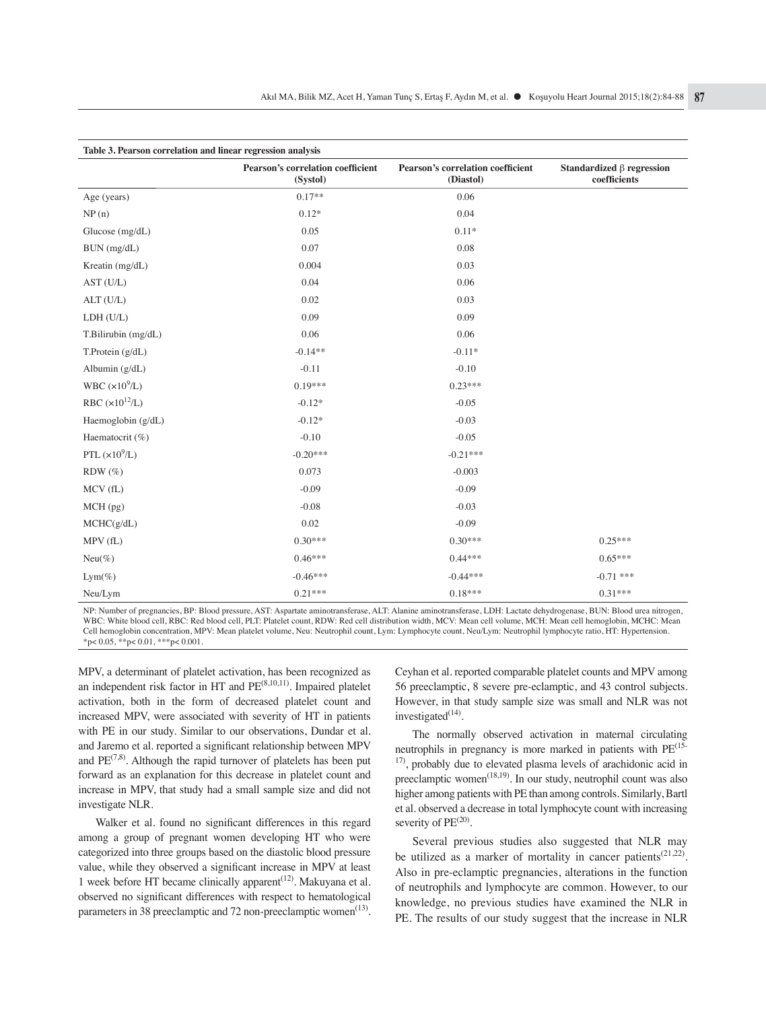| Table 3. Pearson correlation and linear regression analysis |                                               |                                                       |                                                 |  |  |
|-------------------------------------------------------------|-----------------------------------------------|-------------------------------------------------------|-------------------------------------------------|--|--|
|                                                             | Pearson's correlation coefficient<br>(Systol) | <b>Pearson's correlation coefficient</b><br>(Diastol) | Standardized $\beta$ regression<br>coefficients |  |  |
| Age (years)                                                 | $0.17**$                                      | 0.06                                                  |                                                 |  |  |
| NP(n)                                                       | $0.12*$                                       | 0.04                                                  |                                                 |  |  |
| Glucose $(mg/dL)$                                           | 0.05                                          | $0.11*$                                               |                                                 |  |  |
| BUN (mg/dL)                                                 | 0.07                                          | 0.08                                                  |                                                 |  |  |
| Kreatin (mg/dL)                                             | 0.004                                         | 0.03                                                  |                                                 |  |  |
| AST (U/L)                                                   | 0.04                                          | 0.06                                                  |                                                 |  |  |
| ALT(U/L)                                                    | 0.02                                          | 0.03                                                  |                                                 |  |  |
| LDH (U/L)                                                   | 0.09                                          | 0.09                                                  |                                                 |  |  |
| T.Bilirubin (mg/dL)                                         | 0.06                                          | 0.06                                                  |                                                 |  |  |
| T.Protein $(g/dL)$                                          | $-0.14**$                                     | $-0.11*$                                              |                                                 |  |  |
| Albumin $(g/dL)$                                            | $-0.11$                                       | $-0.10$                                               |                                                 |  |  |
| WBC $(x10^9/L)$                                             | $0.19***$                                     | $0.23***$                                             |                                                 |  |  |
| RBC $(x10^{12}/L)$                                          | $-0.12*$                                      | $-0.05$                                               |                                                 |  |  |
| Haemoglobin $(g/dL)$                                        | $-0.12*$                                      | $-0.03$                                               |                                                 |  |  |
| Haematocrit (%)                                             | $-0.10$                                       | $-0.05$                                               |                                                 |  |  |
| PTL $(x10^9/L)$                                             | $-0.20***$                                    | $-0.21***$                                            |                                                 |  |  |
| $RDW(\%)$                                                   | 0.073                                         | $-0.003$                                              |                                                 |  |  |
| MCV(fL)                                                     | $-0.09$                                       | $-0.09$                                               |                                                 |  |  |
| MCH (pg)                                                    | $-0.08$                                       | $-0.03$                                               |                                                 |  |  |
| MCHC(g/dL)                                                  | 0.02                                          | $-0.09$                                               |                                                 |  |  |
| MPV(fL)                                                     | $0.30***$                                     | $0.30***$                                             | $0.25***$                                       |  |  |
| $Neu(\%)$                                                   | $0.46***$                                     | $0.44***$                                             | $0.65***$                                       |  |  |
| $Lym(\%)$                                                   | $-0.46***$                                    | $-0.44***$                                            | $-0.71$ ***                                     |  |  |
| Neu/Lym                                                     | $0.21***$                                     | $0.18***$                                             | $0.31***$                                       |  |  |

NP: Number of pregnancies, BP: Blood pressure, AST: Aspartate aminotransferase, ALT: Alanine aminotransferase, LDH: Lactate dehydrogenase, BUN: Blood urea nitrogen, WBC: White blood cell, RBC: Red blood cell, PLT: Platelet count, RDW: Red cell distribution width, MCV: Mean cell volume, MCH: Mean cell hemoglobin, MCHC: Mean Cell hemoglobin concentration, MPV: Mean platelet volume, Neu: Neutrophil count, Lym: Lymphocyte count, Neu/Lym: Neutrophil lymphocyte ratio, HT: Hypertension.  $*p< 0.05, **p< 0.01, **p< 0.001.$ 

MPV, a determinant of platelet activation, has been recognized as an independent risk factor in HT and  $PE^{(8,10,11)}$ . Impaired platelet activation, both in the form of decreased platelet count and increased MPV, were associated with severity of HT in patients with PE in our study. Similar to our observations, Dundar et al. and Jaremo et al. reported a significant relationship between MPV and  $PE^{(7,8)}$ . Although the rapid turnover of platelets has been put forward as an explanation for this decrease in platelet count and increase in MPV, that study had a small sample size and did not investigate NLR.

Walker et al. found no significant differences in this regard among a group of pregnant women developing HT who were categorized into three groups based on the diastolic blood pressure value, while they observed a significant increase in MPV at least 1 week before HT became clinically apparent<sup> $(12)$ </sup>. Makuyana et al. observed no significant differences with respect to hematological parameters in 38 preeclamptic and 72 non-preeclamptic women<sup>(13)</sup>.

Ceyhan et al. reported comparable platelet counts and MPV among 56 preeclamptic, 8 severe pre-eclamptic, and 43 control subjects. However, in that study sample size was small and NLR was not investigated $(14)$ .

The normally observed activation in maternal circulating neutrophils in pregnancy is more marked in patients with PE<sup>(15--</sup> <sup>17)</sup>, probably due to elevated plasma levels of arachidonic acid in preeclamptic women<sup> $(18,19)$ </sup>. In our study, neutrophil count was also higher among patients with PE than among controls. Similarly, Bartl et al. observed a decrease in total lymphocyte count with increasing severity of  $PE^{(20)}$ .

Several previous studies also suggested that NLR may be utilized as a marker of mortality in cancer patients<sup> $(21,22)$ </sup>. Also in pre-eclamptic pregnancies, alterations in the function of neutrophils and lymphocyte are common. However, to our knowledge, no previous studies have examined the NLR in PE. The results of our study suggest that the increase in NLR